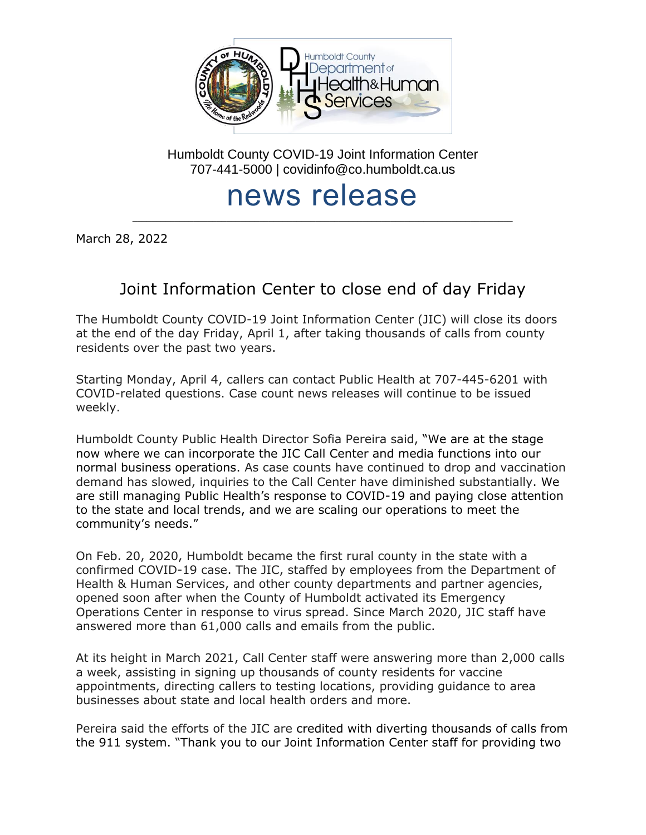

Humboldt County COVID-19 Joint Information Center 707-441-5000 | covidinfo@co.humboldt.ca.us

## news release

\_\_\_\_\_\_\_\_\_\_\_\_\_\_\_\_\_\_\_\_\_\_\_\_\_\_\_\_\_\_\_\_\_\_\_\_\_\_\_\_\_\_\_\_\_\_\_\_\_\_\_\_\_\_\_\_\_\_\_\_\_\_\_\_\_\_\_\_\_\_\_\_\_\_\_\_\_\_\_\_\_

March 28, 2022

## Joint Information Center to close end of day Friday

The Humboldt County COVID-19 Joint Information Center (JIC) will close its doors at the end of the day Friday, April 1, after taking thousands of calls from county residents over the past two years.

Starting Monday, April 4, callers can contact Public Health at 707-445-6201 with COVID-related questions. Case count news releases will continue to be issued weekly.

Humboldt County Public Health Director Sofia Pereira said, "We are at the stage now where we can incorporate the JIC Call Center and media functions into our normal business operations. As case counts have continued to drop and vaccination demand has slowed, inquiries to the Call Center have diminished substantially. We are still managing Public Health's response to COVID-19 and paying close attention to the state and local trends, and we are scaling our operations to meet the community's needs."

On Feb. 20, 2020, Humboldt became the first rural county in the state with a confirmed COVID-19 case. The JIC, staffed by employees from the Department of Health & Human Services, and other county departments and partner agencies, opened soon after when the County of Humboldt activated its Emergency Operations Center in response to virus spread. Since March 2020, JIC staff have answered more than 61,000 calls and emails from the public.

At its height in March 2021, Call Center staff were answering more than 2,000 calls a week, assisting in signing up thousands of county residents for vaccine appointments, directing callers to testing locations, providing guidance to area businesses about state and local health orders and more.

Pereira said the efforts of the JIC are credited with diverting thousands of calls from the 911 system. "Thank you to our Joint Information Center staff for providing two